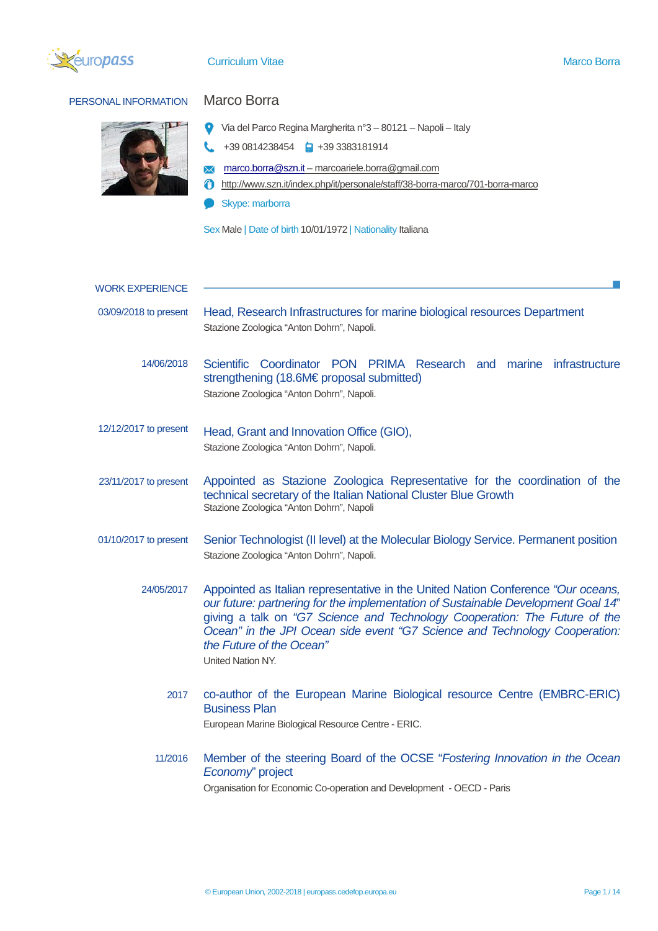

# PERSONAL INFORMATION Marco Borra



- Via del Parco Regina Margherita n°3 80121 Napoli Italy
- $\begin{array}{|c|c|c|c|}\n\hline\n\text{+39 0814238454} & \text{ } \blacksquare & \text{+39 3383181914}\n\end{array}$
- **X** [marco.borra@szn.it](mailto:marco.borra@szn.it) marcoariele.borra@gmail.com
- http://www.szn.it/index.php/it/personale/staff/38-borra-marco/701-borra-marco
- Skype: marborra

Sex Male | Date of birth 10/01/1972 | Nationality Italiana

| <b>WORK EXPERIENCE</b> |                                                                                                                                                                                                                                                                                                                                                                                    |
|------------------------|------------------------------------------------------------------------------------------------------------------------------------------------------------------------------------------------------------------------------------------------------------------------------------------------------------------------------------------------------------------------------------|
| 03/09/2018 to present  | Head, Research Infrastructures for marine biological resources Department<br>Stazione Zoologica "Anton Dohrn", Napoli.                                                                                                                                                                                                                                                             |
| 14/06/2018             | Scientific Coordinator PON PRIMA Research and marine infrastructure<br>strengthening (18.6M€ proposal submitted)<br>Stazione Zoologica "Anton Dohrn", Napoli.                                                                                                                                                                                                                      |
| 12/12/2017 to present  | Head, Grant and Innovation Office (GIO),<br>Stazione Zoologica "Anton Dohrn", Napoli.                                                                                                                                                                                                                                                                                              |
| 23/11/2017 to present  | Appointed as Stazione Zoologica Representative for the coordination of the<br>technical secretary of the Italian National Cluster Blue Growth<br>Stazione Zoologica "Anton Dohrn", Napoli                                                                                                                                                                                          |
| 01/10/2017 to present  | Senior Technologist (II level) at the Molecular Biology Service. Permanent position<br>Stazione Zoologica "Anton Dohrn", Napoli.                                                                                                                                                                                                                                                   |
| 24/05/2017             | Appointed as Italian representative in the United Nation Conference "Our oceans,<br>our future: partnering for the implementation of Sustainable Development Goal 14"<br>giving a talk on "G7 Science and Technology Cooperation: The Future of the<br>Ocean" in the JPI Ocean side event "G7 Science and Technology Cooperation:<br>the Future of the Ocean"<br>United Nation NY. |
| 2017                   | co-author of the European Marine Biological resource Centre (EMBRC-ERIC)<br><b>Business Plan</b><br>European Marine Biological Resource Centre - ERIC.                                                                                                                                                                                                                             |
| 11/2016                | Member of the steering Board of the OCSE "Fostering Innovation in the Ocean<br>Economy" project<br>Organisation for Economic Co-operation and Development - OECD - Paris                                                                                                                                                                                                           |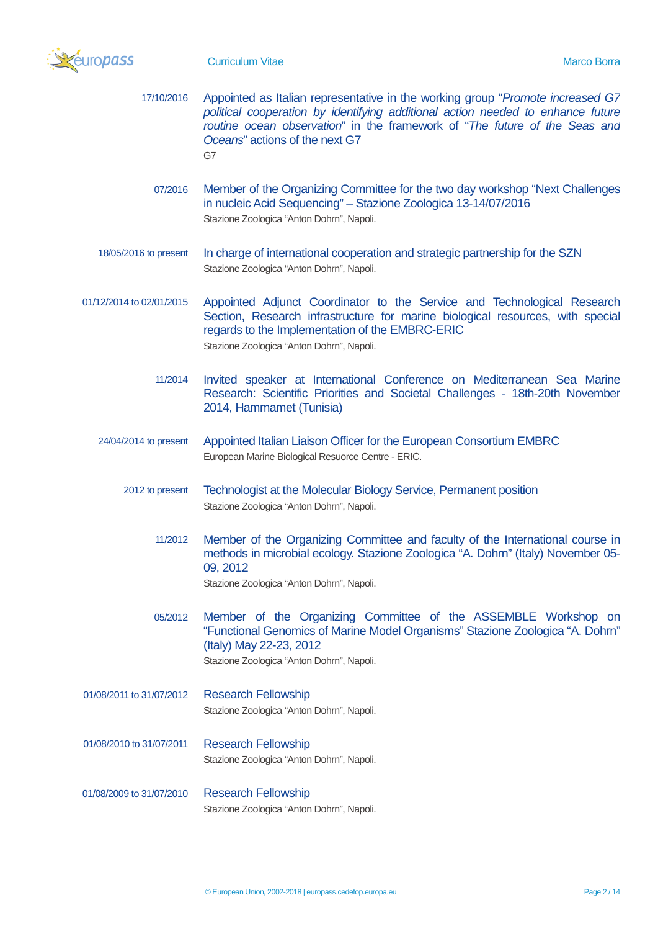

- 17/10/2016 Appointed as Italian representative in the working group "*Promote increased G7 political cooperation by identifying additional action needed to enhance future routine ocean observation*" in the framework of "*The future of the Seas and Oceans*" actions of the next G7  $G7$ 
	- 07/2016 Member of the Organizing Committee for the two day workshop "Next Challenges in nucleic Acid Sequencing" – Stazione Zoologica 13-14/07/2016 Stazione Zoologica "Anton Dohrn", Napoli.
- 18/05/2016 to present In charge of international cooperation and strategic partnership for the SZN Stazione Zoologica "Anton Dohrn", Napoli.
- 01/12/2014 to 02/01/2015 Appointed Adjunct Coordinator to the Service and Technological Research Section, Research infrastructure for marine biological resources, with special regards to the Implementation of the EMBRC-ERIC Stazione Zoologica "Anton Dohrn", Napoli.
	- 11/2014 Invited speaker at International Conference on Mediterranean Sea Marine Research: Scientific Priorities and Societal Challenges - 18th-20th November 2014, Hammamet (Tunisia)
	- 24/04/2014 to present Appointed Italian Liaison Officer for the European Consortium EMBRC European Marine Biological Resuorce Centre - ERIC.
		- 2012 to present Technologist at the Molecular Biology Service, Permanent position Stazione Zoologica "Anton Dohrn", Napoli.
			- 11/2012 Member of the Organizing Committee and faculty of the International course in methods in microbial ecology. Stazione Zoologica "A. Dohrn" (Italy) November 05- 09, 2012

Stazione Zoologica "Anton Dohrn", Napoli.

- 05/2012 Member of the Organizing Committee of the ASSEMBLE Workshop on "Functional Genomics of Marine Model Organisms" Stazione Zoologica "A. Dohrn" (Italy) May 22-23, 2012 Stazione Zoologica "Anton Dohrn", Napoli.
- 01/08/2011 to 31/07/2012 Research Fellowship Stazione Zoologica "Anton Dohrn", Napoli.
- 01/08/2010 to 31/07/2011 Research Fellowship Stazione Zoologica "Anton Dohrn", Napoli.
- 01/08/2009 to 31/07/2010 Research Fellowship Stazione Zoologica "Anton Dohrn", Napoli.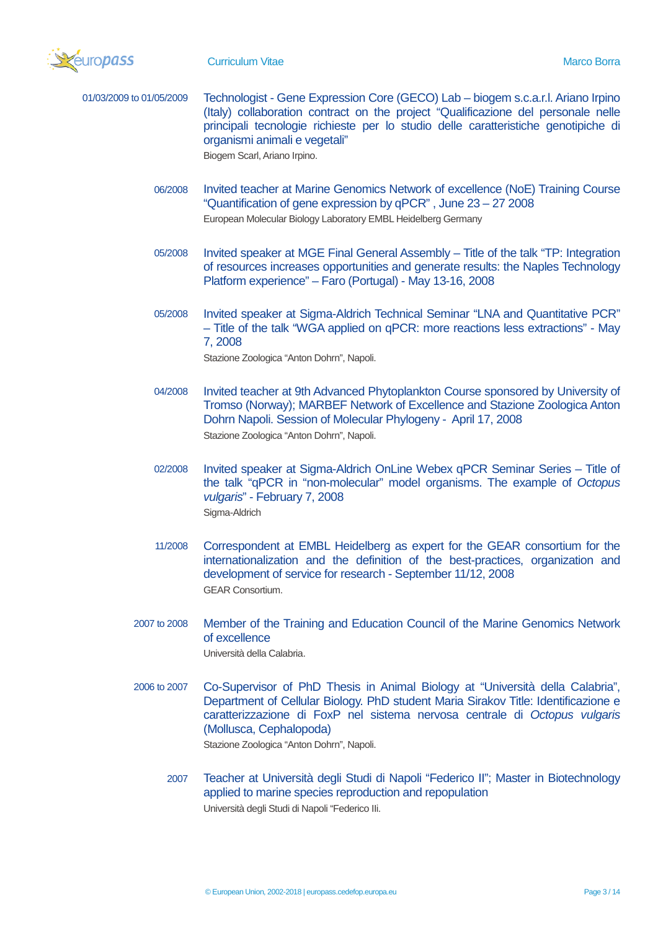

- 01/03/2009 to 01/05/2009 Technologist Gene Expression Core (GECO) Lab biogem s.c.a.r.l. Ariano Irpino (Italy) collaboration contract on the project "Qualificazione del personale nelle principali tecnologie richieste per lo studio delle caratteristiche genotipiche di organismi animali e vegetali" Biogem Scarl, Ariano Irpino.
	- 06/2008 Invited teacher at Marine Genomics Network of excellence (NoE) Training Course "Quantification of gene expression by qPCR" , June 23 – 27 2008 European Molecular Biology Laboratory EMBL Heidelberg Germany
	- 05/2008 Invited speaker at MGE Final General Assembly Title of the talk "TP: Integration of resources increases opportunities and generate results: the Naples Technology Platform experience" – Faro (Portugal) - May 13-16, 2008
	- 05/2008 Invited speaker at Sigma-Aldrich Technical Seminar "LNA and Quantitative PCR" – Title of the talk "WGA applied on qPCR: more reactions less extractions" - May 7, 2008 Stazione Zoologica "Anton Dohrn", Napoli.
	- 04/2008 Invited teacher at 9th Advanced Phytoplankton Course sponsored by University of Tromso (Norway); MARBEF Network of Excellence and Stazione Zoologica Anton Dohrn Napoli. Session of Molecular Phylogeny - April 17, 2008 Stazione Zoologica "Anton Dohrn", Napoli.
	- 02/2008 Invited speaker at Sigma-Aldrich OnLine Webex qPCR Seminar Series Title of the talk "qPCR in "non-molecular" model organisms. The example of *Octopus vulgaris*" - February 7, 2008 Sigma-Aldrich
	- 11/2008 Correspondent at EMBL Heidelberg as expert for the GEAR consortium for the internationalization and the definition of the best-practices, organization and development of service for research - September 11/12, 2008 GEAR Consortium.
	- 2007 to 2008 Member of the Training and Education Council of the Marine Genomics Network of excellence Università della Calabria.
	- 2006 to 2007 Co-Supervisor of PhD Thesis in Animal Biology at "Università della Calabria", Department of Cellular Biology. PhD student Maria Sirakov Title: Identificazione e caratterizzazione di FoxP nel sistema nervosa centrale di *Octopus vulgaris* (Mollusca, Cephalopoda)

Stazione Zoologica "Anton Dohrn", Napoli.

2007 Teacher at Università degli Studi di Napoli "Federico II"; Master in Biotechnology applied to marine species reproduction and repopulation Università degli Studi di Napoli "Federico IIi.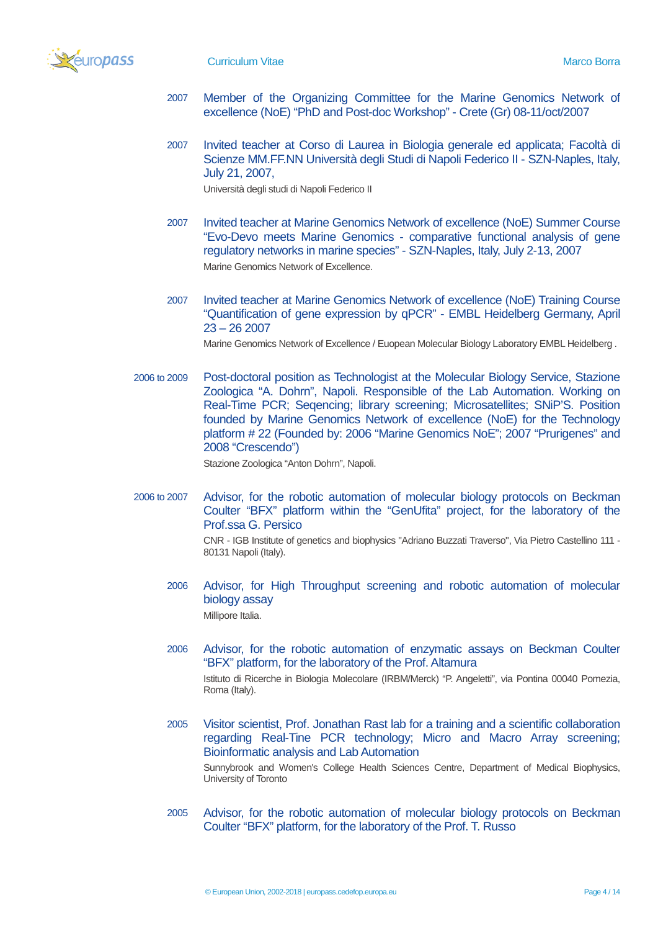

- 2007 Member of the Organizing Committee for the Marine Genomics Network of excellence (NoE) "PhD and Post-doc Workshop" - Crete (Gr) 08-11/oct/2007
- 2007 Invited teacher at Corso di Laurea in Biologia generale ed applicata; Facoltà di Scienze MM.FF.NN Università degli Studi di Napoli Federico II - SZN-Naples, Italy, July 21, 2007, Università degli studi di Napoli Federico II
- 2007 Invited teacher at Marine Genomics Network of excellence (NoE) Summer Course "Evo-Devo meets Marine Genomics - comparative functional analysis of gene regulatory networks in marine species" - SZN-Naples, Italy, July 2-13, 2007 Marine Genomics Network of Excellence.
- 2007 Invited teacher at Marine Genomics Network of excellence (NoE) Training Course "Quantification of gene expression by qPCR" - EMBL Heidelberg Germany, April 23 – 26 2007

Marine Genomics Network of Excellence / Euopean Molecular Biology Laboratory EMBL Heidelberg .

2006 to 2009 Post-doctoral position as Technologist at the Molecular Biology Service, Stazione Zoologica "A. Dohrn", Napoli. Responsible of the Lab Automation. Working on Real-Time PCR; Seqencing; library screening; Microsatellites; SNiP'S. Position founded by Marine Genomics Network of excellence (NoE) for the Technology platform # 22 (Founded by: 2006 "Marine Genomics NoE"; 2007 "Prurigenes" and 2008 "Crescendo")

Stazione Zoologica "Anton Dohrn", Napoli.

2006 to 2007 Advisor, for the robotic automation of molecular biology protocols on Beckman Coulter "BFX" platform within the "GenUfita" project, for the laboratory of the Prof.ssa G. Persico

> CNR - IGB Institute of genetics and biophysics "Adriano Buzzati Traverso", Via Pietro Castellino 111 - 80131 Napoli (Italy).

- 2006 Advisor, for High Throughput screening and robotic automation of molecular biology assay Millipore Italia.
- 2006 Advisor, for the robotic automation of enzymatic assays on Beckman Coulter "BFX" platform, for the laboratory of the Prof. Altamura Istituto di Ricerche in Biologia Molecolare (IRBM/Merck) "P. Angeletti", via Pontina 00040 Pomezia, Roma (Italy).
- 2005 Visitor scientist, Prof. Jonathan Rast lab for a training and a scientific collaboration regarding Real-Tine PCR technology; Micro and Macro Array screening; Bioinformatic analysis and Lab Automation Sunnybrook and Women's College Health Sciences Centre, Department of Medical Biophysics, University of Toronto
- 2005 Advisor, for the robotic automation of molecular biology protocols on Beckman Coulter "BFX" platform, for the laboratory of the Prof. T. Russo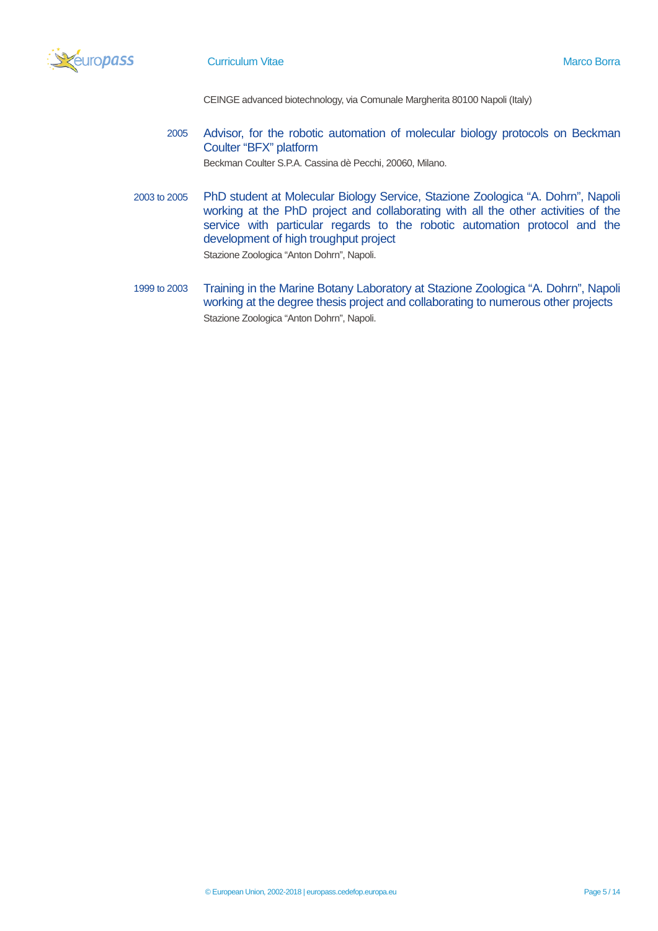

CEINGE advanced biotechnology, via Comunale Margherita 80100 Napoli (Italy)

2005 Advisor, for the robotic automation of molecular biology protocols on Beckman Coulter "BFX" platform Beckman Coulter S.P.A. Cassina dè Pecchi, 20060, Milano.

2003 to 2005 PhD student at Molecular Biology Service, Stazione Zoologica "A. Dohrn", Napoli working at the PhD project and collaborating with all the other activities of the service with particular regards to the robotic automation protocol and the development of high troughput project Stazione Zoologica "Anton Dohrn", Napoli.

1999 to 2003 Training in the Marine Botany Laboratory at Stazione Zoologica "A. Dohrn", Napoli working at the degree thesis project and collaborating to numerous other projects Stazione Zoologica "Anton Dohrn", Napoli.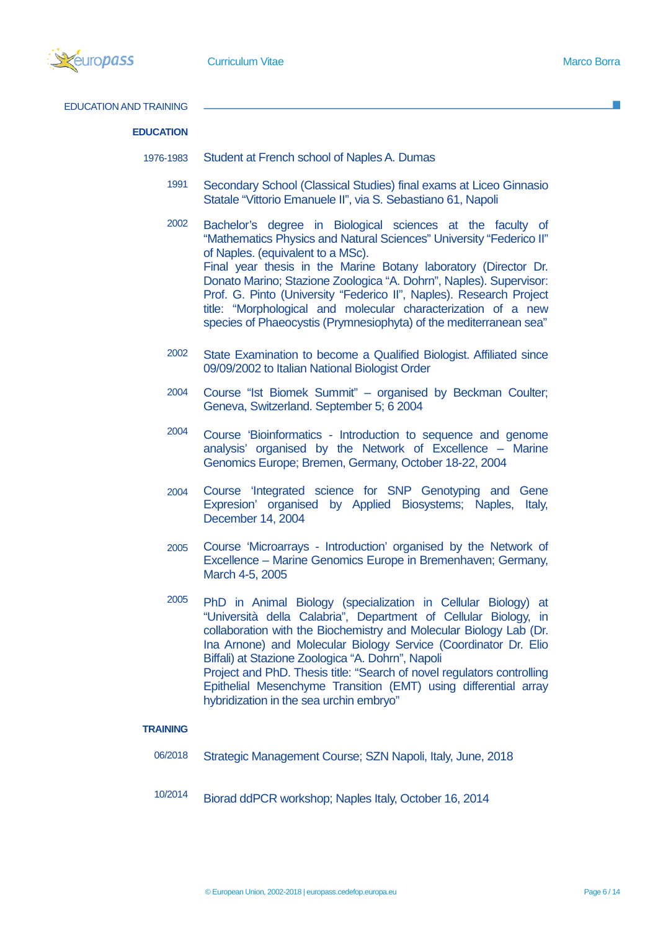

EDUCATION AND TRAINING

## **EDUCATION**

- 1976-1983 Student at French school of Naples A. Dumas
	- 1991 Secondary School (Classical Studies) final exams at Liceo Ginnasio Statale "Vittorio Emanuele II", via S. Sebastiano 61, Napoli
	- 2002 Bachelor's degree in Biological sciences at the faculty of "Mathematics Physics and Natural Sciences" University "Federico II" of Naples. (equivalent to a MSc). Final year thesis in the Marine Botany laboratory (Director Dr. Donato Marino; Stazione Zoologica "A. Dohrn", Naples). Supervisor: Prof. G. Pinto (University "Federico II", Naples). Research Project title: "Morphological and molecular characterization of a new species of Phaeocystis (Prymnesiophyta) of the mediterranean sea"
	- 2002 State Examination to become a Qualified Biologist. Affiliated since 09/09/2002 to Italian National Biologist Order
	- 2004 Course "Ist Biomek Summit" – organised by Beckman Coulter; Geneva, Switzerland. September 5; 6 2004
	- 2004 Course 'Bioinformatics - Introduction to sequence and genome analysis' organised by the Network of Excellence – Marine Genomics Europe; Bremen, Germany, October 18-22, 2004
	- 2004 Course 'Integrated science for SNP Genotyping and Gene Expresion' organised by Applied Biosystems; Naples, Italy, December 14, 2004
	- 2005 Course 'Microarrays - Introduction' organised by the Network of Excellence – Marine Genomics Europe in Bremenhaven; Germany, March 4-5, 2005
	- 2005 PhD in Animal Biology (specialization in Cellular Biology) at "Università della Calabria", Department of Cellular Biology, in collaboration with the Biochemistry and Molecular Biology Lab (Dr. Ina Arnone) and Molecular Biology Service (Coordinator Dr. Elio Biffali) at Stazione Zoologica "A. Dohrn", Napoli Project and PhD. Thesis title: "Search of novel regulators controlling Epithelial Mesenchyme Transition (EMT) using differential array hybridization in the sea urchin embryo"

## **TRAINING**

- 06/2018 Strategic Management Course; SZN Napoli, Italy, June, 2018
- 10/2014 Biorad ddPCR workshop; Naples Italy, October 16, 2014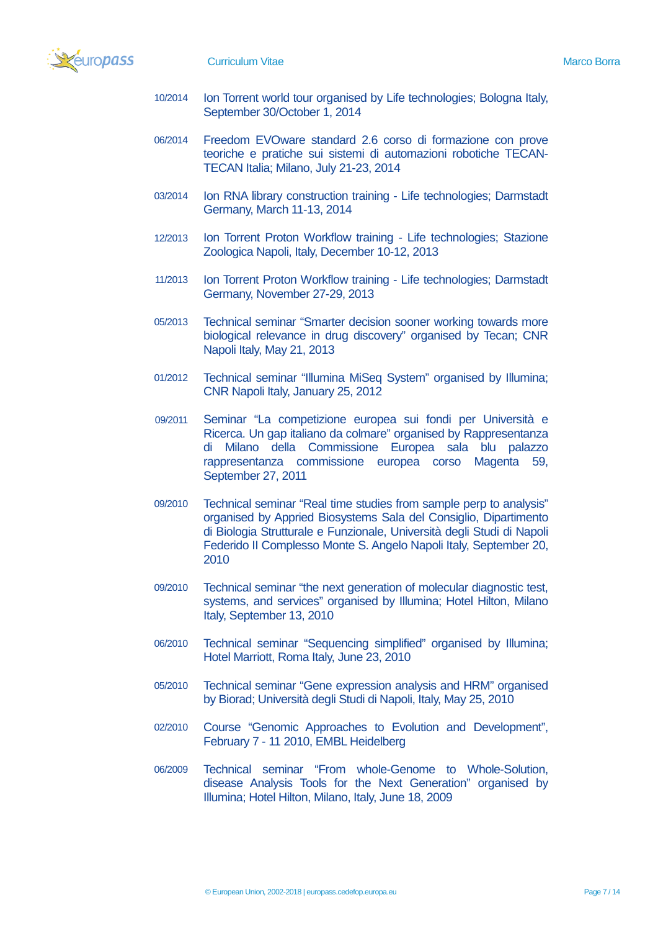

- 10/2014 Ion Torrent world tour organised by Life technologies; Bologna Italy, September 30/October 1, 2014
- 06/2014 Freedom EVOware standard 2.6 corso di formazione con prove teoriche e pratiche sui sistemi di automazioni robotiche TECAN-TECAN Italia; Milano, July 21-23, 2014
- 03/2014 Ion RNA library construction training Life technologies; Darmstadt Germany, March 11-13, 2014
- 12/2013 Ion Torrent Proton Workflow training Life technologies; Stazione Zoologica Napoli, Italy, December 10-12, 2013
- 11/2013 Ion Torrent Proton Workflow training Life technologies; Darmstadt Germany, November 27-29, 2013
- 05/2013 Technical seminar "Smarter decision sooner working towards more biological relevance in drug discovery" organised by Tecan; CNR Napoli Italy, May 21, 2013
- 01/2012 Technical seminar "Illumina MiSeq System" organised by Illumina; CNR Napoli Italy, January 25, 2012
- 09/2011 Seminar "La competizione europea sui fondi per Università e Ricerca. Un gap italiano da colmare" organised by Rappresentanza di Milano della Commissione Europea sala blu palazzo rappresentanza commissione europea corso Magenta 59, September 27, 2011
- 09/2010 Technical seminar "Real time studies from sample perp to analysis" organised by Appried Biosystems Sala del Consiglio, Dipartimento di Biologia Strutturale e Funzionale, Università degli Studi di Napoli Federido II Complesso Monte S. Angelo Napoli Italy, September 20, 2010
- 09/2010 Technical seminar "the next generation of molecular diagnostic test, systems, and services" organised by Illumina; Hotel Hilton, Milano Italy, September 13, 2010
- 06/2010 Technical seminar "Sequencing simplified" organised by Illumina; Hotel Marriott, Roma Italy, June 23, 2010
- 05/2010 Technical seminar "Gene expression analysis and HRM" organised by Biorad; Università degli Studi di Napoli, Italy, May 25, 2010
- 02/2010 Course "Genomic Approaches to Evolution and Development", February 7 - 11 2010, EMBL Heidelberg
- 06/2009 Technical seminar "From whole-Genome to Whole-Solution, disease Analysis Tools for the Next Generation" organised by Illumina; Hotel Hilton, Milano, Italy, June 18, 2009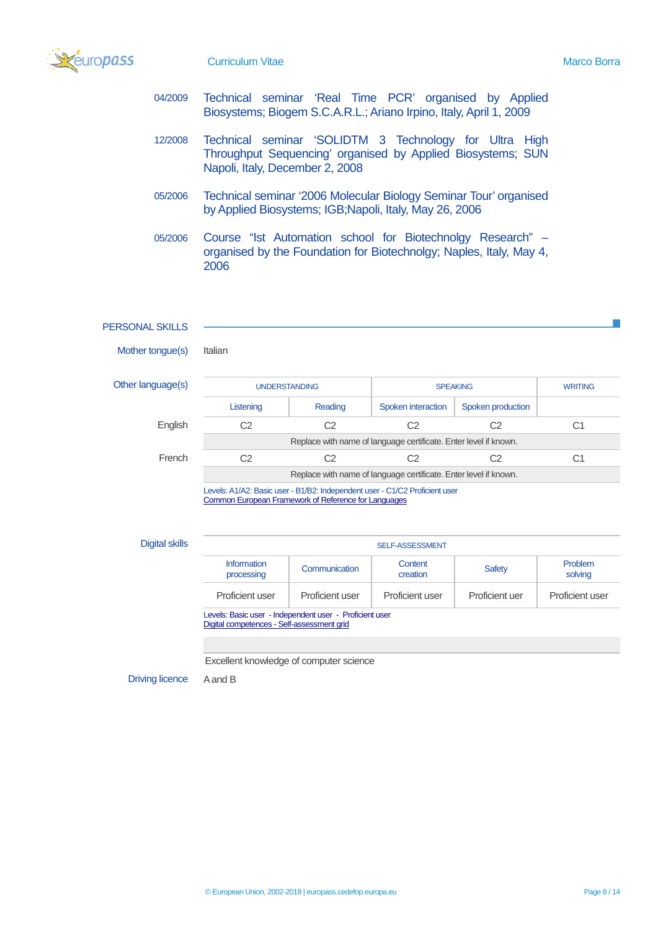

- 04/2009 Technical seminar 'Real Time PCR' organised by Applied Biosystems; Biogem S.C.A.R.L.; Ariano Irpino, Italy, April 1, 2009
- 12/2008 Technical seminar 'SOLIDTM 3 Technology for Ultra High Throughput Sequencing' organised by Applied Biosystems; SUN Napoli, Italy, December 2, 2008
- 05/2006 Technical seminar '2006 Molecular Biology Seminar Tour' organised by Applied Biosystems; IGB;Napoli, Italy, May 26, 2006
- 05/2006 Course "Ist Automation school for Biotechnolgy Research" organised by the Foundation for Biotechnolgy; Naples, Italy, May 4, 2006

### PERSONAL SKILLS

Mother tongue(s) Italian

Other language(s

| uage(s) | <b>UNDERSTANDING</b>                                             |         | <b>SPEAKING</b>                                                  |                   | <b>WRITING</b> |  |  |
|---------|------------------------------------------------------------------|---------|------------------------------------------------------------------|-------------------|----------------|--|--|
|         | Listening                                                        | Reading | Spoken interaction                                               | Spoken production |                |  |  |
| English | C2                                                               | C2      | C2                                                               | C2                | C1             |  |  |
|         |                                                                  |         | Replace with name of language certificate. Enter level if known. |                   |                |  |  |
| French  | C2                                                               | C2      | С2                                                               | C2                | C1             |  |  |
|         | Replace with name of language certificate. Enter level if known. |         |                                                                  |                   |                |  |  |
|         |                                                                  |         |                                                                  |                   |                |  |  |

Levels: A1/A2: Basic user - B1/B2: Independent user - C1/C2 Proficient user [Common European Framework of Reference for Languages](http://europass.cedefop.europa.eu/en/resources/european-language-levels-cefr)

| Digital skills | <b>SELF-ASSESSMENT</b>                                  |                 |                     |                |                           |  |  |
|----------------|---------------------------------------------------------|-----------------|---------------------|----------------|---------------------------|--|--|
|                | <b>Information</b><br>processing                        | Communication   | Content<br>creation | <b>Safety</b>  | <b>Problem</b><br>solving |  |  |
|                | Proficient user                                         | Proficient user | Proficient user     | Proficient uer | Proficient user           |  |  |
|                | Levels: Basic user - Independent user - Proficient user |                 |                     |                |                           |  |  |

[Digital competences -](http://europass.cedefop.europa.eu/en/resources/digital-competences) Self-assessment grid

Excellent knowledge of computer science

Driving licence A and B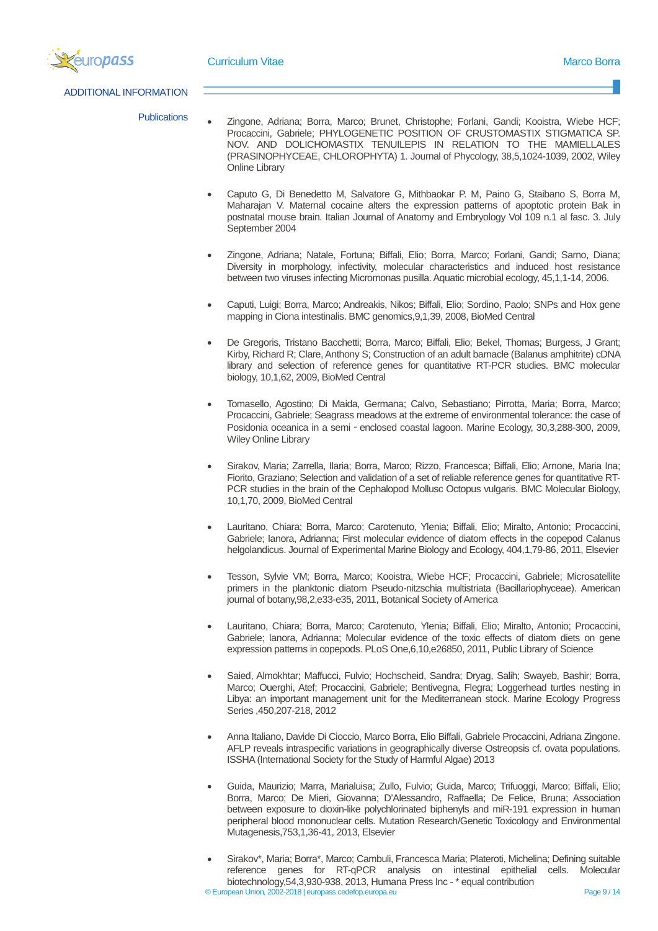

ADDITIONAL INFORMATION

- Publications Zingone, Adriana; Borra, Marco; Brunet, Christophe; Forlani, Gandi; Kooistra, Wiebe HCF; Procaccini, Gabriele; PHYLOGENETIC POSITION OF CRUSTOMASTIX STIGMATICA SP. NOV. AND DOLICHOMASTIX TENUILEPIS IN RELATION TO THE MAMIELLALES (PRASINOPHYCEAE, CHLOROPHYTA) 1. Journal of Phycology, 38,5,1024-1039, 2002, Wiley Online Library
	- Caputo G, Di Benedetto M, Salvatore G, Mithbaokar P. M, Paino G, Staibano S, Borra M, Maharajan V. Maternal cocaine alters the expression patterns of apoptotic protein Bak in postnatal mouse brain. Italian Journal of Anatomy and Embryology Vol 109 n.1 al fasc. 3. July September 2004
	- Zingone, Adriana; Natale, Fortuna; Biffali, Elio; Borra, Marco; Forlani, Gandi; Sarno, Diana; Diversity in morphology, infectivity, molecular characteristics and induced host resistance between two viruses infecting Micromonas pusilla. Aquatic microbial ecology, 45,1,1-14, 2006.
	- Caputi, Luigi; Borra, Marco; Andreakis, Nikos; Biffali, Elio; Sordino, Paolo; SNPs and Hox gene mapping in Ciona intestinalis. BMC genomics,9,1,39, 2008, BioMed Central
	- De Gregoris, Tristano Bacchetti; Borra, Marco; Biffali, Elio; Bekel, Thomas; Burgess, J Grant; Kirby, Richard R; Clare, Anthony S; Construction of an adult barnacle (Balanus amphitrite) cDNA library and selection of reference genes for quantitative RT-PCR studies. BMC molecular biology, 10,1,62, 2009, BioMed Central
	- Tomasello, Agostino; Di Maida, Germana; Calvo, Sebastiano; Pirrotta, Maria; Borra, Marco; Procaccini, Gabriele; Seagrass meadows at the extreme of environmental tolerance: the case of Posidonia oceanica in a semi - enclosed coastal lagoon. Marine Ecology, 30,3,288-300, 2009, Wiley Online Library
	- Sirakov, Maria; Zarrella, Ilaria; Borra, Marco; Rizzo, Francesca; Biffali, Elio; Arnone, Maria Ina; Fiorito, Graziano; Selection and validation of a set of reliable reference genes for quantitative RT-PCR studies in the brain of the Cephalopod Mollusc Octopus vulgaris. BMC Molecular Biology, 10,1,70, 2009, BioMed Central
	- Lauritano, Chiara; Borra, Marco; Carotenuto, Ylenia; Biffali, Elio; Miralto, Antonio; Procaccini, Gabriele; Ianora, Adrianna; First molecular evidence of diatom effects in the copepod Calanus helgolandicus. Journal of Experimental Marine Biology and Ecology, 404,1,79-86, 2011, Elsevier
	- Tesson, Sylvie VM; Borra, Marco; Kooistra, Wiebe HCF; Procaccini, Gabriele; Microsatellite primers in the planktonic diatom Pseudo-nitzschia multistriata (Bacillariophyceae). American journal of botany,98,2,e33-e35, 2011, Botanical Society of America
	- Lauritano, Chiara; Borra, Marco; Carotenuto, Ylenia; Biffali, Elio; Miralto, Antonio; Procaccini, Gabriele; Ianora, Adrianna; Molecular evidence of the toxic effects of diatom diets on gene expression patterns in copepods. PLoS One,6,10,e26850, 2011, Public Library of Science
	- Saied, Almokhtar; Maffucci, Fulvio; Hochscheid, Sandra; Dryag, Salih; Swayeb, Bashir; Borra, Marco; Ouerghi, Atef; Procaccini, Gabriele; Bentivegna, Flegra; Loggerhead turtles nesting in Libya: an important management unit for the Mediterranean stock. Marine Ecology Progress Series ,450,207-218, 2012
	- Anna Italiano, Davide Di Cioccio, Marco Borra, Elio Biffali, Gabriele Procaccini, Adriana Zingone. AFLP reveals intraspecific variations in geographically diverse Ostreopsis cf. ovata populations. ISSHA (International Society for the Study of Harmful Algae) 2013
	- Guida, Maurizio; Marra, Marialuisa; Zullo, Fulvio; Guida, Marco; Trifuoggi, Marco; Biffali, Elio; Borra, Marco; De Mieri, Giovanna; D'Alessandro, Raffaella; De Felice, Bruna; Association between exposure to dioxin-like polychlorinated biphenyls and miR-191 expression in human peripheral blood mononuclear cells. Mutation Research/Genetic Toxicology and Environmental Mutagenesis,753,1,36-41, 2013, Elsevier
	- © European Union, 2002-2018 | europass.cedefop.europa.eu Page 9 / 14 • Sirakov\*, Maria; Borra\*, Marco; Cambuli, Francesca Maria; Plateroti, Michelina; Defining suitable reference genes for RT-qPCR analysis on intestinal epithelial cells. Molecular biotechnology,54,3,930-938, 2013, Humana Press Inc - \* equal contribution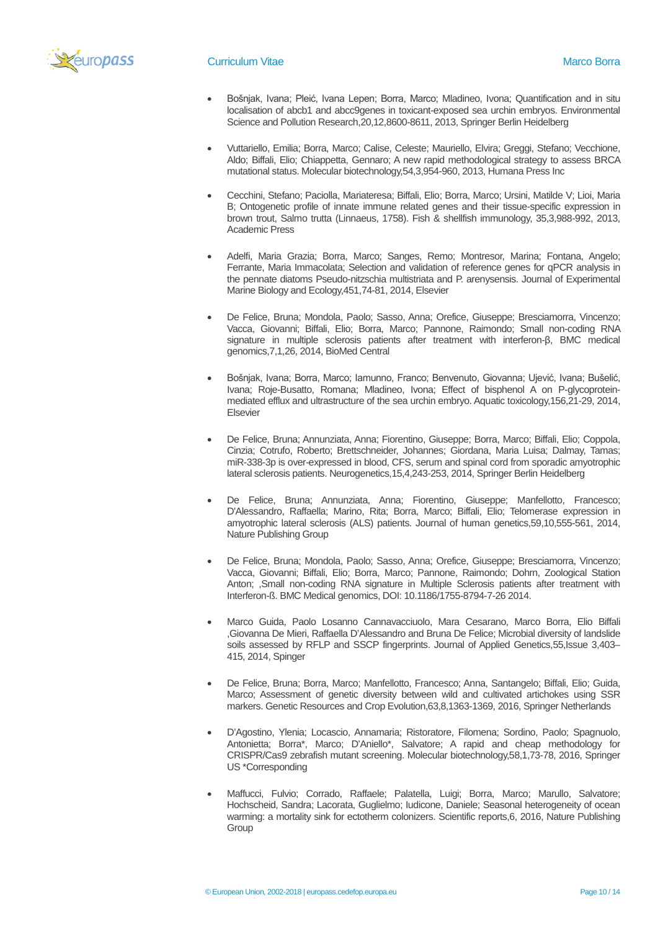

- Bošnjak, Ivana; Pleić, Ivana Lepen; Borra, Marco; Mladineo, Ivona; Quantification and in situ localisation of abcb1 and abcc9genes in toxicant-exposed sea urchin embryos. Environmental Science and Pollution Research,20,12,8600-8611, 2013, Springer Berlin Heidelberg
- Vuttariello, Emilia; Borra, Marco; Calise, Celeste; Mauriello, Elvira; Greggi, Stefano; Vecchione, Aldo; Biffali, Elio; Chiappetta, Gennaro; A new rapid methodological strategy to assess BRCA mutational status. Molecular biotechnology,54,3,954-960, 2013, Humana Press Inc
- Cecchini, Stefano; Paciolla, Mariateresa; Biffali, Elio; Borra, Marco; Ursini, Matilde V; Lioi, Maria B; Ontogenetic profile of innate immune related genes and their tissue-specific expression in brown trout, Salmo trutta (Linnaeus, 1758). Fish & shellfish immunology, 35,3,988-992, 2013, Academic Press
- Adelfi, Maria Grazia; Borra, Marco; Sanges, Remo; Montresor, Marina; Fontana, Angelo; Ferrante, Maria Immacolata; Selection and validation of reference genes for qPCR analysis in the pennate diatoms Pseudo-nitzschia multistriata and P. arenysensis. Journal of Experimental Marine Biology and Ecology,451,74-81, 2014, Elsevier
- De Felice, Bruna; Mondola, Paolo; Sasso, Anna; Orefice, Giuseppe; Bresciamorra, Vincenzo; Vacca, Giovanni; Biffali, Elio; Borra, Marco; Pannone, Raimondo; Small non-coding RNA signature in multiple sclerosis patients after treatment with interferon-β, BMC medical genomics,7,1,26, 2014, BioMed Central
- Bošnjak, Ivana; Borra, Marco; Iamunno, Franco; Benvenuto, Giovanna; Ujević, Ivana; Bušelić, Ivana; Roje-Busatto, Romana; Mladineo, Ivona; Effect of bisphenol A on P-glycoproteinmediated efflux and ultrastructure of the sea urchin embryo. Aquatic toxicology,156,21-29, 2014, Elsevier
- De Felice, Bruna; Annunziata, Anna; Fiorentino, Giuseppe; Borra, Marco; Biffali, Elio; Coppola, Cinzia; Cotrufo, Roberto; Brettschneider, Johannes; Giordana, Maria Luisa; Dalmay, Tamas; miR-338-3p is over-expressed in blood, CFS, serum and spinal cord from sporadic amyotrophic lateral sclerosis patients. Neurogenetics,15,4,243-253, 2014, Springer Berlin Heidelberg
- De Felice, Bruna; Annunziata, Anna; Fiorentino, Giuseppe; Manfellotto, Francesco; D'Alessandro, Raffaella; Marino, Rita; Borra, Marco; Biffali, Elio; Telomerase expression in amyotrophic lateral sclerosis (ALS) patients. Journal of human genetics,59,10,555-561, 2014, Nature Publishing Group
- De Felice, Bruna; Mondola, Paolo; Sasso, Anna; Orefice, Giuseppe; Bresciamorra, Vincenzo; Vacca, Giovanni; Biffali, Elio; Borra, Marco; Pannone, Raimondo; Dohrn, Zoological Station Anton; ,Small non-coding RNA signature in Multiple Sclerosis patients after treatment with Interferon-ß. BMC Medical genomics, DOI: 10.1186/1755-8794-7-26 2014.
- Marco Guida, Paolo Losanno Cannavacciuolo, Mara Cesarano, Marco Borra, Elio Biffali ,Giovanna De Mieri, Raffaella D'Alessandro and Bruna De Felice; Microbial diversity of landslide soils assessed by RFLP and SSCP fingerprints. Journal of Applied Genetics, 55, Issue 3, 403-415, 2014, Spinger
- De Felice, Bruna; Borra, Marco; Manfellotto, Francesco; Anna, Santangelo; Biffali, Elio; Guida, Marco; Assessment of genetic diversity between wild and cultivated artichokes using SSR markers. Genetic Resources and Crop Evolution,63,8,1363-1369, 2016, Springer Netherlands
- D'Agostino, Ylenia; Locascio, Annamaria; Ristoratore, Filomena; Sordino, Paolo; Spagnuolo, Antonietta; Borra\*, Marco; D'Aniello\*, Salvatore; A rapid and cheap methodology for CRISPR/Cas9 zebrafish mutant screening. Molecular biotechnology,58,1,73-78, 2016, Springer US \*Corresponding
- Maffucci, Fulvio; Corrado, Raffaele; Palatella, Luigi; Borra, Marco; Marullo, Salvatore; Hochscheid, Sandra; Lacorata, Guglielmo; Iudicone, Daniele; Seasonal heterogeneity of ocean warming: a mortality sink for ectotherm colonizers. Scientific reports,6, 2016, Nature Publishing **Group**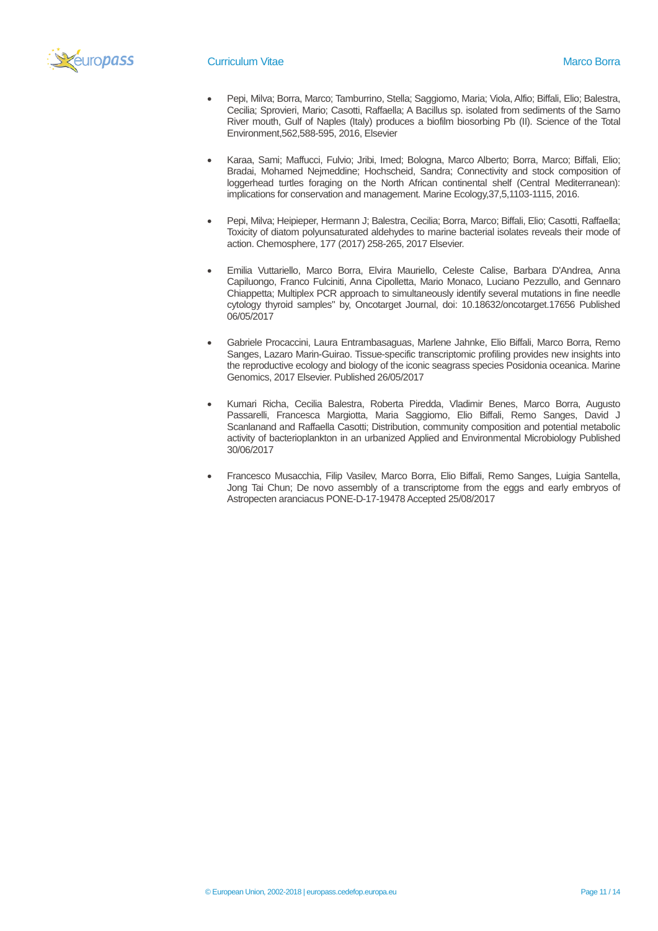

- Pepi, Milva; Borra, Marco; Tamburrino, Stella; Saggiomo, Maria; Viola, Alfio; Biffali, Elio; Balestra, Cecilia; Sprovieri, Mario; Casotti, Raffaella; A Bacillus sp. isolated from sediments of the Sarno River mouth, Gulf of Naples (Italy) produces a biofilm biosorbing Pb (II). Science of the Total Environment,562,588-595, 2016, Elsevier
- Karaa, Sami; Maffucci, Fulvio; Jribi, Imed; Bologna, Marco Alberto; Borra, Marco; Biffali, Elio; Bradai, Mohamed Nejmeddine; Hochscheid, Sandra; Connectivity and stock composition of loggerhead turtles foraging on the North African continental shelf (Central Mediterranean): implications for conservation and management. Marine Ecology,37,5,1103-1115, 2016.
- Pepi, Milva; Heipieper, Hermann J; Balestra, Cecilia; Borra, Marco; Biffali, Elio; Casotti, Raffaella; Toxicity of diatom polyunsaturated aldehydes to marine bacterial isolates reveals their mode of action. Chemosphere, 177 (2017) 258-265, 2017 Elsevier.
- Emilia Vuttariello, Marco Borra, Elvira Mauriello, Celeste Calise, Barbara D'Andrea, Anna Capiluongo, Franco Fulciniti, Anna Cipolletta, Mario Monaco, Luciano Pezzullo, and Gennaro Chiappetta; Multiplex PCR approach to simultaneously identify several mutations in fine needle cytology thyroid samples" by, Oncotarget Journal, doi: 10.18632/oncotarget.17656 Published 06/05/2017
- Gabriele Procaccini, Laura Entrambasaguas, Marlene Jahnke, Elio Biffali, Marco Borra, Remo Sanges, Lazaro Marin-Guirao. Tissue-specific transcriptomic profiling provides new insights into the reproductive ecology and biology of the iconic seagrass species Posidonia oceanica. Marine Genomics, 2017 Elsevier. Published 26/05/2017
- Kumari Richa, Cecilia Balestra, Roberta Piredda, Vladimir Benes, Marco Borra, Augusto Passarelli, Francesca Margiotta, Maria Saggiomo, Elio Biffali, Remo Sanges, David J Scanlanand and Raffaella Casotti; Distribution, community composition and potential metabolic activity of bacterioplankton in an urbanized Applied and Environmental Microbiology Published 30/06/2017
- Francesco Musacchia, Filip Vasilev, Marco Borra, Elio Biffali, Remo Sanges, Luigia Santella, Jong Tai Chun; De novo assembly of a transcriptome from the eggs and early embryos of Astropecten aranciacus PONE-D-17-19478 Accepted 25/08/2017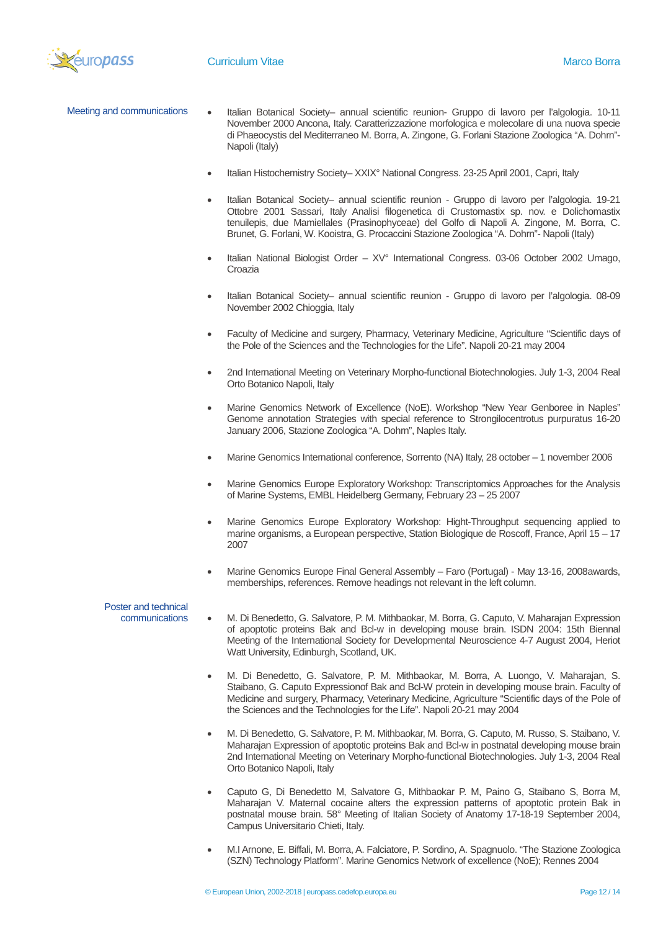

- Meeting and communications • Italian Botanical Society– annual scientific reunion- Gruppo di lavoro per l'algologia. 10-11 November 2000 Ancona, Italy. Caratterizzazione morfologica e molecolare di una nuova specie di Phaeocystis del Mediterraneo M. Borra, A. Zingone, G. Forlani Stazione Zoologica "A. Dohrn"- Napoli (Italy)
	- Italian Histochemistry Society– XXIX° National Congress. 23-25 April 2001, Capri, Italy
	- Italian Botanical Society– annual scientific reunion Gruppo di lavoro per l'algologia. 19-21 Ottobre 2001 Sassari, Italy Analisi filogenetica di Crustomastix sp. nov. e Dolichomastix tenuilepis, due Mamiellales (Prasinophyceae) del Golfo di Napoli A. Zingone, M. Borra, C. Brunet, G. Forlani, W. Kooistra, G. Procaccini Stazione Zoologica "A. Dohrn"- Napoli (Italy)
	- Italian National Biologist Order XV° International Congress. 03-06 October 2002 Umago, **Croazia**
	- Italian Botanical Society– annual scientific reunion Gruppo di lavoro per l'algologia. 08-09 November 2002 Chioggia, Italy
	- Faculty of Medicine and surgery, Pharmacy, Veterinary Medicine, Agriculture "Scientific days of the Pole of the Sciences and the Technologies for the Life". Napoli 20-21 may 2004
	- 2nd International Meeting on Veterinary Morpho-functional Biotechnologies. July 1-3, 2004 Real Orto Botanico Napoli, Italy
	- Marine Genomics Network of Excellence (NoE). Workshop "New Year Genboree in Naples" Genome annotation Strategies with special reference to Strongilocentrotus purpuratus 16-20 January 2006, Stazione Zoologica "A. Dohrn", Naples Italy.
	- Marine Genomics International conference, Sorrento (NA) Italy, 28 october 1 november 2006
	- Marine Genomics Europe Exploratory Workshop: Transcriptomics Approaches for the Analysis of Marine Systems, EMBL Heidelberg Germany, February 23 – 25 2007
	- Marine Genomics Europe Exploratory Workshop: Hight-Throughput sequencing applied to marine organisms, a European perspective, Station Biologique de Roscoff, France, April 15 – 17 2007
	- Marine Genomics Europe Final General Assembly Faro (Portugal) May 13-16, 2008awards, memberships, references. Remove headings not relevant in the left column.

#### Poster and technical communications

- M. Di Benedetto, G. Salvatore, P. M. Mithbaokar, M. Borra, G. Caputo, V. Maharajan Expression of apoptotic proteins Bak and Bcl-w in developing mouse brain. ISDN 2004: 15th Biennal Meeting of the International Society for Developmental Neuroscience 4-7 August 2004, Heriot Watt University, Edinburgh, Scotland, UK.
- M. Di Benedetto, G. Salvatore, P. M. Mithbaokar, M. Borra, A. Luongo, V. Maharajan, S. Staibano, G. Caputo Expressionof Bak and Bcl-W protein in developing mouse brain. Faculty of Medicine and surgery, Pharmacy, Veterinary Medicine, Agriculture "Scientific days of the Pole of the Sciences and the Technologies for the Life". Napoli 20-21 may 2004
- M. Di Benedetto, G. Salvatore, P. M. Mithbaokar, M. Borra, G. Caputo, M. Russo, S. Staibano, V. Maharajan Expression of apoptotic proteins Bak and Bcl-w in postnatal developing mouse brain 2nd International Meeting on Veterinary Morpho-functional Biotechnologies. July 1-3, 2004 Real Orto Botanico Napoli, Italy
- Caputo G, Di Benedetto M, Salvatore G, Mithbaokar P. M, Paino G, Staibano S, Borra M, Maharajan V. Maternal cocaine alters the expression patterns of apoptotic protein Bak in postnatal mouse brain. 58° Meeting of Italian Society of Anatomy 17-18-19 September 2004, Campus Universitario Chieti, Italy.
- M.I Arnone, E. Biffali, M. Borra, A. Falciatore, P. Sordino, A. Spagnuolo. "The Stazione Zoologica (SZN) Technology Platform". Marine Genomics Network of excellence (NoE); Rennes 2004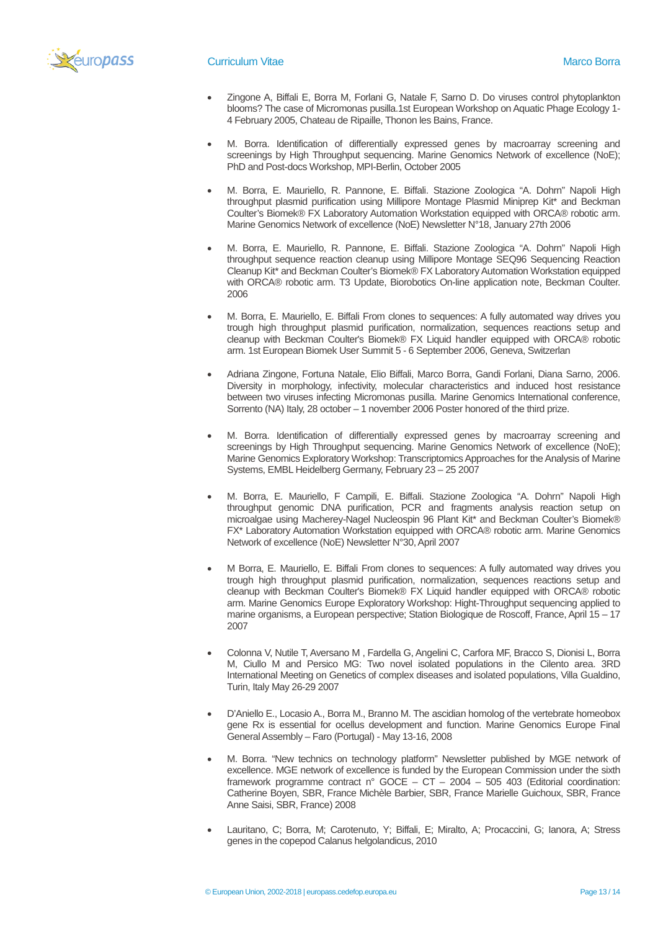

- Zingone A, Biffali E, Borra M, Forlani G, Natale F, Sarno D. Do viruses control phytoplankton blooms? The case of Micromonas pusilla.1st European Workshop on Aquatic Phage Ecology 1- 4 February 2005, Chateau de Ripaille, Thonon les Bains, France.
- M. Borra. Identification of differentially expressed genes by macroarray screening and screenings by High Throughput sequencing. Marine Genomics Network of excellence (NoE); PhD and Post-docs Workshop, MPI-Berlin, October 2005
- M. Borra, E. Mauriello, R. Pannone, E. Biffali. Stazione Zoologica "A. Dohrn" Napoli High throughput plasmid purification using Millipore Montage Plasmid Miniprep Kit\* and Beckman Coulter's Biomek® FX Laboratory Automation Workstation equipped with ORCA® robotic arm. Marine Genomics Network of excellence (NoE) Newsletter N°18, January 27th 2006
- M. Borra, E. Mauriello, R. Pannone, E. Biffali. Stazione Zoologica "A. Dohrn" Napoli High throughput sequence reaction cleanup using Millipore Montage SEQ96 Sequencing Reaction Cleanup Kit\* and Beckman Coulter's Biomek® FX Laboratory Automation Workstation equipped with ORCA® robotic arm. T3 Update, Biorobotics On-line application note, Beckman Coulter. 2006
- M. Borra, E. Mauriello, E. Biffali From clones to sequences: A fully automated way drives you trough high throughput plasmid purification, normalization, sequences reactions setup and cleanup with Beckman Coulter's Biomek® FX Liquid handler equipped with ORCA® robotic arm. 1st European Biomek User Summit 5 - 6 September 2006, Geneva, Switzerlan
- Adriana Zingone, Fortuna Natale, Elio Biffali, Marco Borra, Gandi Forlani, Diana Sarno, 2006. Diversity in morphology, infectivity, molecular characteristics and induced host resistance between two viruses infecting Micromonas pusilla. Marine Genomics International conference, Sorrento (NA) Italy, 28 october – 1 november 2006 Poster honored of the third prize.
- M. Borra. Identification of differentially expressed genes by macroarray screening and screenings by High Throughput sequencing. Marine Genomics Network of excellence (NoE); Marine Genomics Exploratory Workshop: Transcriptomics Approaches for the Analysis of Marine Systems, EMBL Heidelberg Germany, February 23 – 25 2007
- M. Borra, E. Mauriello, F Campili, E. Biffali. Stazione Zoologica "A. Dohrn" Napoli High throughput genomic DNA purification, PCR and fragments analysis reaction setup on microalgae using Macherey-Nagel Nucleospin 96 Plant Kit\* and Beckman Coulter's Biomek® FX\* Laboratory Automation Workstation equipped with ORCA® robotic arm. Marine Genomics Network of excellence (NoE) Newsletter N°30, April 2007
- M Borra, E. Mauriello, E. Biffali From clones to sequences: A fully automated way drives you trough high throughput plasmid purification, normalization, sequences reactions setup and cleanup with Beckman Coulter's Biomek® FX Liquid handler equipped with ORCA® robotic arm. Marine Genomics Europe Exploratory Workshop: Hight-Throughput sequencing applied to marine organisms, a European perspective; Station Biologique de Roscoff, France, April 15 – 17 2007
- Colonna V, Nutile T, Aversano M , Fardella G, Angelini C, Carfora MF, Bracco S, Dionisi L, Borra M, Ciullo M and Persico MG: Two novel isolated populations in the Cilento area. 3RD International Meeting on Genetics of complex diseases and isolated populations, Villa Gualdino, Turin, Italy May 26-29 2007
- D'Aniello E., Locasio A., Borra M., Branno M. The ascidian homolog of the vertebrate homeobox gene Rx is essential for ocellus development and function. Marine Genomics Europe Final General Assembly – Faro (Portugal) - May 13-16, 2008
- M. Borra. "New technics on technology platform" Newsletter published by MGE network of excellence. MGE network of excellence is funded by the European Commission under the sixth framework programme contract n° GOCE – CT – 2004 – 505 403 (Editorial coordination: Catherine Boyen, SBR, France Michèle Barbier, SBR, France Marielle Guichoux, SBR, France Anne Saisi, SBR, France) 2008
- Lauritano, C; Borra, M; Carotenuto, Y; Biffali, E; Miralto, A; Procaccini, G; Ianora, A; Stress genes in the copepod Calanus helgolandicus, 2010